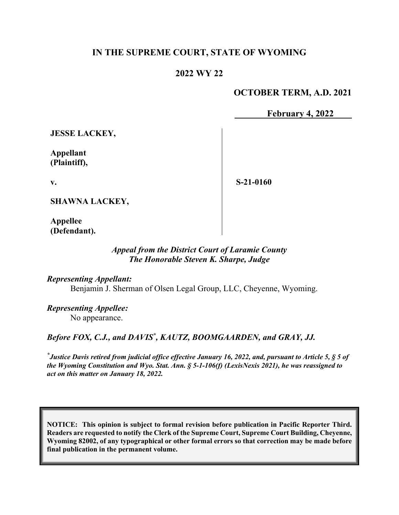### **IN THE SUPREME COURT, STATE OF WYOMING**

### **2022 WY 22**

### **OCTOBER TERM, A.D. 2021**

**February 4, 2022**

**JESSE LACKEY,**

**Appellant (Plaintiff),**

**v.**

**S-21-0160**

**SHAWNA LACKEY,**

**Appellee (Defendant).**

#### *Appeal from the District Court of Laramie County The Honorable Steven K. Sharpe, Judge*

*Representing Appellant:* Benjamin J. Sherman of Olsen Legal Group, LLC, Cheyenne, Wyoming.

*Representing Appellee:* No appearance.

Before FOX, C.J., and DAVIS<sup>\*</sup>, KAUTZ, BOOMGAARDEN, and GRAY, JJ.

*\* Justice Davis retired from judicial office effective January 16, 2022, and, pursuant to Article 5, § 5 of the Wyoming Constitution and Wyo. Stat. Ann. § 5-1-106(f) (LexisNexis 2021), he was reassigned to act on this matter on January 18, 2022.*

**NOTICE: This opinion is subject to formal revision before publication in Pacific Reporter Third. Readers are requested to notify the Clerk of the Supreme Court, Supreme Court Building, Cheyenne, Wyoming 82002, of any typographical or other formal errors so that correction may be made before final publication in the permanent volume.**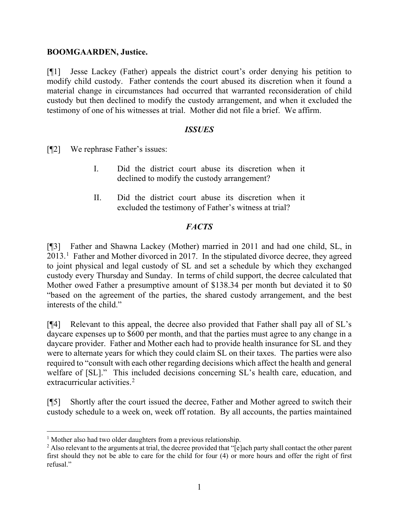#### **BOOMGAARDEN, Justice.**

[¶1] Jesse Lackey (Father) appeals the district court's order denying his petition to modify child custody. Father contends the court abused its discretion when it found a material change in circumstances had occurred that warranted reconsideration of child custody but then declined to modify the custody arrangement, and when it excluded the testimony of one of his witnesses at trial. Mother did not file a brief. We affirm.

#### *ISSUES*

[¶2] We rephrase Father's issues:

- I. Did the district court abuse its discretion when it declined to modify the custody arrangement?
- II. Did the district court abuse its discretion when it excluded the testimony of Father's witness at trial?

## *FACTS*

[¶3] Father and Shawna Lackey (Mother) married in 2011 and had one child, SL, in  $2013<sup>1</sup>$  $2013<sup>1</sup>$  $2013<sup>1</sup>$  Father and Mother divorced in 2017. In the stipulated divorce decree, they agreed to joint physical and legal custody of SL and set a schedule by which they exchanged custody every Thursday and Sunday. In terms of child support, the decree calculated that Mother owed Father a presumptive amount of \$138.34 per month but deviated it to \$0 "based on the agreement of the parties, the shared custody arrangement, and the best interests of the child."

[¶4] Relevant to this appeal, the decree also provided that Father shall pay all of SL's daycare expenses up to \$600 per month, and that the parties must agree to any change in a daycare provider. Father and Mother each had to provide health insurance for SL and they were to alternate years for which they could claim SL on their taxes. The parties were also required to "consult with each other regarding decisions which affect the health and general welfare of [SL]." This included decisions concerning SL's health care, education, and extracurricular activities.<sup>[2](#page-1-1)</sup>

[¶5] Shortly after the court issued the decree, Father and Mother agreed to switch their custody schedule to a week on, week off rotation. By all accounts, the parties maintained

<span id="page-1-1"></span><span id="page-1-0"></span><sup>&</sup>lt;sup>1</sup> Mother also had two older daughters from a previous relationship.<br><sup>2</sup> Also relevant to the arguments at trial, the decree provided that "[e]ach party shall contact the other parent first should they not be able to care for the child for four (4) or more hours and offer the right of first refusal."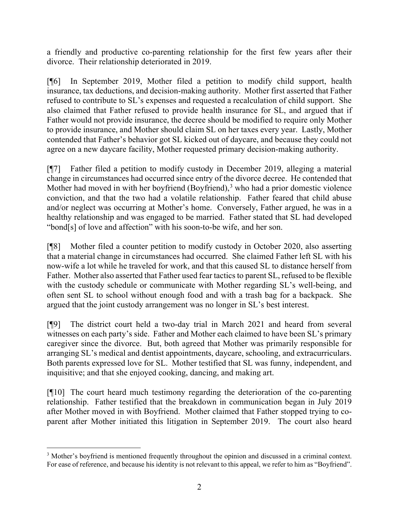a friendly and productive co-parenting relationship for the first few years after their divorce. Their relationship deteriorated in 2019.

[¶6] In September 2019, Mother filed a petition to modify child support, health insurance, tax deductions, and decision-making authority. Mother first asserted that Father refused to contribute to SL's expenses and requested a recalculation of child support. She also claimed that Father refused to provide health insurance for SL, and argued that if Father would not provide insurance, the decree should be modified to require only Mother to provide insurance, and Mother should claim SL on her taxes every year. Lastly, Mother contended that Father's behavior got SL kicked out of daycare, and because they could not agree on a new daycare facility, Mother requested primary decision-making authority.

[¶7] Father filed a petition to modify custody in December 2019, alleging a material change in circumstances had occurred since entry of the divorce decree. He contended that Mother had moved in with her boyfriend  $(Boyfriend)$ ,<sup>[3](#page-2-0)</sup> who had a prior domestic violence conviction, and that the two had a volatile relationship. Father feared that child abuse and/or neglect was occurring at Mother's home. Conversely, Father argued, he was in a healthy relationship and was engaged to be married. Father stated that SL had developed "bond[s] of love and affection" with his soon-to-be wife, and her son.

[¶8] Mother filed a counter petition to modify custody in October 2020, also asserting that a material change in circumstances had occurred. She claimed Father left SL with his now-wife a lot while he traveled for work, and that this caused SL to distance herself from Father. Mother also asserted that Father used fear tactics to parent SL, refused to be flexible with the custody schedule or communicate with Mother regarding SL's well-being, and often sent SL to school without enough food and with a trash bag for a backpack. She argued that the joint custody arrangement was no longer in SL's best interest.

[¶9] The district court held a two-day trial in March 2021 and heard from several witnesses on each party's side. Father and Mother each claimed to have been SL's primary caregiver since the divorce. But, both agreed that Mother was primarily responsible for arranging SL's medical and dentist appointments, daycare, schooling, and extracurriculars. Both parents expressed love for SL. Mother testified that SL was funny, independent, and inquisitive; and that she enjoyed cooking, dancing, and making art.

[¶10] The court heard much testimony regarding the deterioration of the co-parenting relationship. Father testified that the breakdown in communication began in July 2019 after Mother moved in with Boyfriend. Mother claimed that Father stopped trying to coparent after Mother initiated this litigation in September 2019. The court also heard

<span id="page-2-0"></span><sup>&</sup>lt;sup>3</sup> Mother's boyfriend is mentioned frequently throughout the opinion and discussed in a criminal context. For ease of reference, and because his identity is not relevant to this appeal, we refer to him as "Boyfriend".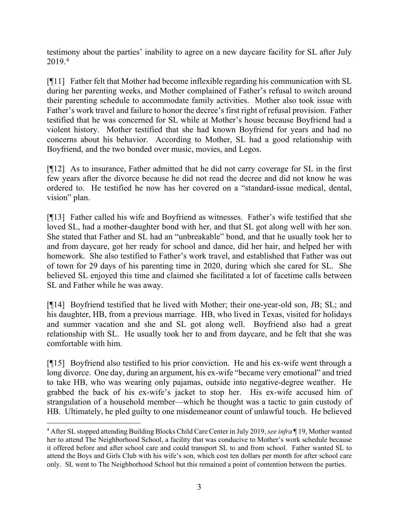testimony about the parties' inability to agree on a new daycare facility for SL after July 2019. [4](#page-3-0)

[¶11] Father felt that Mother had become inflexible regarding his communication with SL during her parenting weeks, and Mother complained of Father's refusal to switch around their parenting schedule to accommodate family activities. Mother also took issue with Father's work travel and failure to honor the decree's first right of refusal provision. Father testified that he was concerned for SL while at Mother's house because Boyfriend had a violent history. Mother testified that she had known Boyfriend for years and had no concerns about his behavior. According to Mother, SL had a good relationship with Boyfriend, and the two bonded over music, movies, and Legos.

[¶12] As to insurance, Father admitted that he did not carry coverage for SL in the first few years after the divorce because he did not read the decree and did not know he was ordered to. He testified he now has her covered on a "standard-issue medical, dental, vision" plan.

[¶13] Father called his wife and Boyfriend as witnesses. Father's wife testified that she loved SL, had a mother-daughter bond with her, and that SL got along well with her son. She stated that Father and SL had an "unbreakable" bond, and that he usually took her to and from daycare, got her ready for school and dance, did her hair, and helped her with homework. She also testified to Father's work travel, and established that Father was out of town for 29 days of his parenting time in 2020, during which she cared for SL. She believed SL enjoyed this time and claimed she facilitated a lot of facetime calls between SL and Father while he was away.

[¶14] Boyfriend testified that he lived with Mother; their one-year-old son, JB; SL; and his daughter, HB, from a previous marriage. HB, who lived in Texas, visited for holidays and summer vacation and she and SL got along well. Boyfriend also had a great relationship with SL. He usually took her to and from daycare, and he felt that she was comfortable with him.

[¶15] Boyfriend also testified to his prior conviction. He and his ex-wife went through a long divorce. One day, during an argument, his ex-wife "became very emotional" and tried to take HB, who was wearing only pajamas, outside into negative-degree weather. He grabbed the back of his ex-wife's jacket to stop her. His ex-wife accused him of strangulation of a household member—which he thought was a tactic to gain custody of HB. Ultimately, he pled guilty to one misdemeanor count of unlawful touch. He believed

<span id="page-3-0"></span><sup>4</sup> After SL stopped attending Building Blocks Child Care Center in July 2019, *see infra* ¶ 19, Mother wanted her to attend The Neighborhood School, a facility that was conducive to Mother's work schedule because it offered before and after school care and could transport SL to and from school. Father wanted SL to attend the Boys and Girls Club with his wife's son, which cost ten dollars per month for after school care only. SL went to The Neighborhood School but this remained a point of contention between the parties.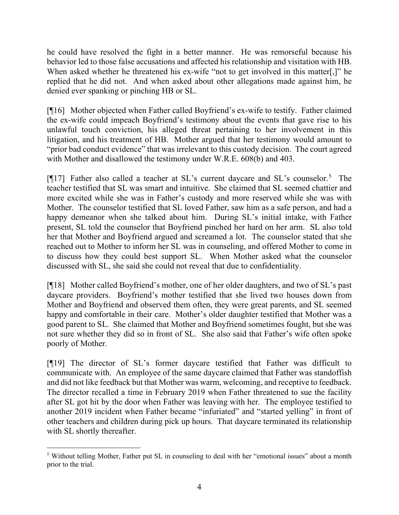he could have resolved the fight in a better manner. He was remorseful because his behavior led to those false accusations and affected his relationship and visitation with HB. When asked whether he threatened his ex-wife "not to get involved in this matter.]" he replied that he did not. And when asked about other allegations made against him, he denied ever spanking or pinching HB or SL.

[¶16] Mother objected when Father called Boyfriend's ex-wife to testify. Father claimed the ex-wife could impeach Boyfriend's testimony about the events that gave rise to his unlawful touch conviction, his alleged threat pertaining to her involvement in this litigation, and his treatment of HB. Mother argued that her testimony would amount to "prior bad conduct evidence" that was irrelevant to this custody decision. The court agreed with Mother and disallowed the testimony under W.R.E. 608(b) and 403.

[¶17] Father also called a teacher at SL's current daycare and SL's counselor.<sup>[5](#page-4-0)</sup> The teacher testified that SL was smart and intuitive. She claimed that SL seemed chattier and more excited while she was in Father's custody and more reserved while she was with Mother. The counselor testified that SL loved Father, saw him as a safe person, and had a happy demeanor when she talked about him. During SL's initial intake, with Father present, SL told the counselor that Boyfriend pinched her hard on her arm. SL also told her that Mother and Boyfriend argued and screamed a lot. The counselor stated that she reached out to Mother to inform her SL was in counseling, and offered Mother to come in to discuss how they could best support SL. When Mother asked what the counselor discussed with SL, she said she could not reveal that due to confidentiality.

[¶18] Mother called Boyfriend's mother, one of her older daughters, and two of SL's past daycare providers. Boyfriend's mother testified that she lived two houses down from Mother and Boyfriend and observed them often, they were great parents, and SL seemed happy and comfortable in their care. Mother's older daughter testified that Mother was a good parent to SL. She claimed that Mother and Boyfriend sometimes fought, but she was not sure whether they did so in front of SL. She also said that Father's wife often spoke poorly of Mother.

[¶19] The director of SL's former daycare testified that Father was difficult to communicate with. An employee of the same daycare claimed that Father was standoffish and did not like feedback but that Mother was warm, welcoming, and receptive to feedback. The director recalled a time in February 2019 when Father threatened to sue the facility after SL got hit by the door when Father was leaving with her. The employee testified to another 2019 incident when Father became "infuriated" and "started yelling" in front of other teachers and children during pick up hours. That daycare terminated its relationship with SL shortly thereafter.

<span id="page-4-0"></span><sup>&</sup>lt;sup>5</sup> Without telling Mother, Father put SL in counseling to deal with her "emotional issues" about a month prior to the trial.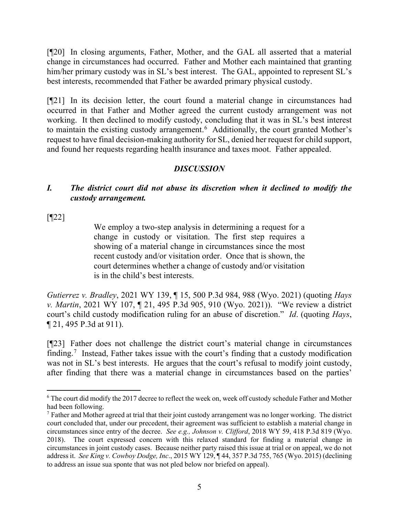[¶20] In closing arguments, Father, Mother, and the GAL all asserted that a material change in circumstances had occurred. Father and Mother each maintained that granting him/her primary custody was in SL's best interest. The GAL, appointed to represent SL's best interests, recommended that Father be awarded primary physical custody.

[¶21] In its decision letter, the court found a material change in circumstances had occurred in that Father and Mother agreed the current custody arrangement was not working. It then declined to modify custody, concluding that it was in SL's best interest to maintain the existing custody arrangement.<sup>[6](#page-5-0)</sup> Additionally, the court granted Mother's request to have final decision-making authority for SL, denied her request for child support, and found her requests regarding health insurance and taxes moot. Father appealed.

# *DISCUSSION*

## *I. The district court did not abuse its discretion when it declined to modify the custody arrangement.*

[¶22]

We employ a two-step analysis in determining a request for a change in custody or visitation. The first step requires a showing of a material change in circumstances since the most recent custody and/or visitation order. Once that is shown, the court determines whether a change of custody and/or visitation is in the child's best interests.

*Gutierrez v. Bradley*, 2021 WY 139, ¶ 15, 500 P.3d 984, 988 (Wyo. 2021) (quoting *Hays v. Martin*, 2021 WY 107, ¶ 21, 495 P.3d 905, 910 (Wyo. 2021)). "We review a district court's child custody modification ruling for an abuse of discretion." *Id*. (quoting *Hays*, ¶ 21, 495 P.3d at 911).

[¶23] Father does not challenge the district court's material change in circumstances finding. [7](#page-5-1) Instead, Father takes issue with the court's finding that a custody modification was not in SL's best interests. He argues that the court's refusal to modify joint custody, after finding that there was a material change in circumstances based on the parties'

<span id="page-5-0"></span><sup>&</sup>lt;sup>6</sup> The court did modify the 2017 decree to reflect the week on, week off custody schedule Father and Mother had been following.

<span id="page-5-1"></span><sup>&</sup>lt;sup>7</sup> Father and Mother agreed at trial that their joint custody arrangement was no longer working. The district court concluded that, under our precedent, their agreement was sufficient to establish a material change in circumstances since entry of the decree. *See e.g., Johnson v. Clifford*, 2018 WY 59, 418 P.3d 819 (Wyo. 2018). The court expressed concern with this relaxed standard for finding a material change in circumstances in joint custody cases. Because neither party raised this issue at trial or on appeal, we do not address it. *See King v. Cowboy Dodge, Inc*., 2015 WY 129, ¶ 44, 357 P.3d 755, 765 (Wyo. 2015) (declining to address an issue sua sponte that was not pled below nor briefed on appeal).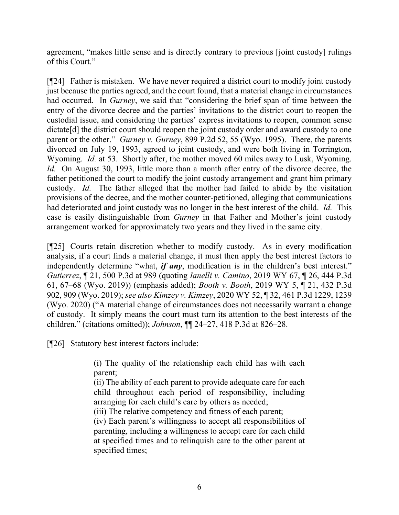agreement, "makes little sense and is directly contrary to previous [joint custody] rulings of this Court."

[¶24] Father is mistaken. We have never required a district court to modify joint custody just because the parties agreed, and the court found, that a material change in circumstances had occurred. In *Gurney*, we said that "considering the brief span of time between the entry of the divorce decree and the parties' invitations to the district court to reopen the custodial issue, and considering the parties' express invitations to reopen, common sense dictate<sup>[d]</sup> the district court should reopen the joint custody order and award custody to one parent or the other." *Gurney v. Gurney*, 899 P.2d 52, 55 (Wyo. 1995). There, the parents divorced on July 19, 1993, agreed to joint custody, and were both living in Torrington, Wyoming. *Id.* at 53. Shortly after, the mother moved 60 miles away to Lusk, Wyoming. *Id.* On August 30, 1993, little more than a month after entry of the divorce decree, the father petitioned the court to modify the joint custody arrangement and grant him primary custody. *Id.* The father alleged that the mother had failed to abide by the visitation provisions of the decree, and the mother counter-petitioned, alleging that communications had deteriorated and joint custody was no longer in the best interest of the child. *Id.* This case is easily distinguishable from *Gurney* in that Father and Mother's joint custody arrangement worked for approximately two years and they lived in the same city.

[¶25] Courts retain discretion whether to modify custody. As in every modification analysis, if a court finds a material change, it must then apply the best interest factors to independently determine "what, *if any*, modification is in the children's best interest." *Gutierrez*, ¶ 21, 500 P.3d at 989 (quoting *Ianelli v. Camino*, 2019 WY 67, ¶ 26, 444 P.3d 61, 67–68 (Wyo. 2019)) (emphasis added); *Booth v. Booth*, 2019 WY 5, ¶ 21, 432 P.3d 902, 909 (Wyo. 2019); *see also Kimzey v. Kimzey*, 2020 WY 52, ¶ 32, 461 P.3d 1229, 1239 (Wyo. 2020) ("A material change of circumstances does not necessarily warrant a change of custody. It simply means the court must turn its attention to the best interests of the children." (citations omitted)); *Johnson*, ¶¶ 24–27, 418 P.3d at 826–28.

[¶26] Statutory best interest factors include:

(i) The quality of the relationship each child has with each parent;

(ii) The ability of each parent to provide adequate care for each child throughout each period of responsibility, including arranging for each child's care by others as needed;

(iii) The relative competency and fitness of each parent;

(iv) Each parent's willingness to accept all responsibilities of parenting, including a willingness to accept care for each child at specified times and to relinquish care to the other parent at specified times;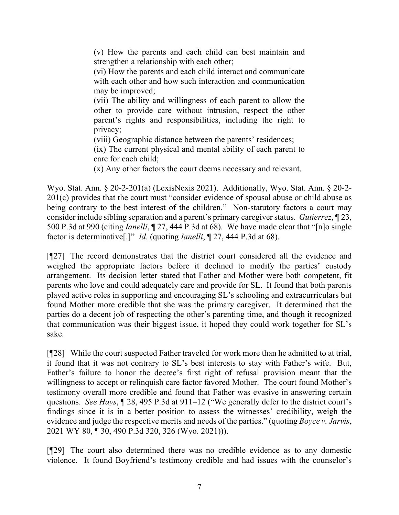(v) How the parents and each child can best maintain and strengthen a relationship with each other;

(vi) How the parents and each child interact and communicate with each other and how such interaction and communication may be improved;

(vii) The ability and willingness of each parent to allow the other to provide care without intrusion, respect the other parent's rights and responsibilities, including the right to privacy;

(viii) Geographic distance between the parents' residences;

(ix) The current physical and mental ability of each parent to care for each child;

(x) Any other factors the court deems necessary and relevant.

Wyo. Stat. Ann. § 20-2-201(a) (LexisNexis 2021). Additionally, Wyo. Stat. Ann. § 20-2- 201(c) provides that the court must "consider evidence of spousal abuse or child abuse as being contrary to the best interest of the children." Non-statutory factors a court may consider include sibling separation and a parent's primary caregiver status. *Gutierrez*, ¶ 23, 500 P.3d at 990 (citing *Ianelli*, ¶ 27, 444 P.3d at 68). We have made clear that "[n]o single factor is determinative[.]" *Id.* (quoting *Ianelli*, ¶ 27, 444 P.3d at 68).

[¶27] The record demonstrates that the district court considered all the evidence and weighed the appropriate factors before it declined to modify the parties' custody arrangement. Its decision letter stated that Father and Mother were both competent, fit parents who love and could adequately care and provide for SL. It found that both parents played active roles in supporting and encouraging SL's schooling and extracurriculars but found Mother more credible that she was the primary caregiver. It determined that the parties do a decent job of respecting the other's parenting time, and though it recognized that communication was their biggest issue, it hoped they could work together for SL's sake.

[¶28] While the court suspected Father traveled for work more than he admitted to at trial, it found that it was not contrary to SL's best interests to stay with Father's wife. But, Father's failure to honor the decree's first right of refusal provision meant that the willingness to accept or relinquish care factor favored Mother. The court found Mother's testimony overall more credible and found that Father was evasive in answering certain questions. *See Hays*, ¶ 28, 495 P.3d at 911–12 ("We generally defer to the district court's findings since it is in a better position to assess the witnesses' credibility, weigh the evidence and judge the respective merits and needs of the parties." (quoting *Boyce v. Jarvis*, 2021 WY 80, ¶ 30, 490 P.3d 320, 326 (Wyo. 2021))).

[¶29] The court also determined there was no credible evidence as to any domestic violence. It found Boyfriend's testimony credible and had issues with the counselor's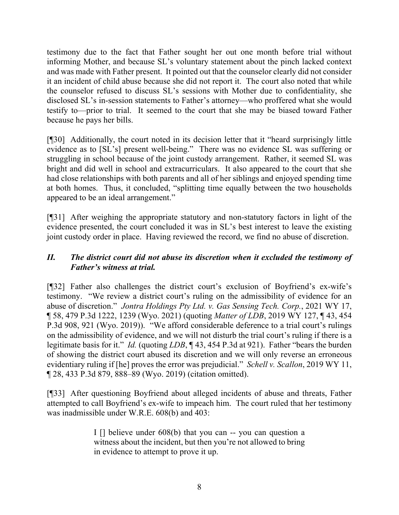testimony due to the fact that Father sought her out one month before trial without informing Mother, and because SL's voluntary statement about the pinch lacked context and was made with Father present. It pointed out that the counselor clearly did not consider it an incident of child abuse because she did not report it. The court also noted that while the counselor refused to discuss SL's sessions with Mother due to confidentiality, she disclosed SL's in-session statements to Father's attorney—who proffered what she would testify to—prior to trial. It seemed to the court that she may be biased toward Father because he pays her bills.

[¶30] Additionally, the court noted in its decision letter that it "heard surprisingly little evidence as to [SL's] present well-being." There was no evidence SL was suffering or struggling in school because of the joint custody arrangement. Rather, it seemed SL was bright and did well in school and extracurriculars. It also appeared to the court that she had close relationships with both parents and all of her siblings and enjoyed spending time at both homes. Thus, it concluded, "splitting time equally between the two households appeared to be an ideal arrangement."

[¶31] After weighing the appropriate statutory and non-statutory factors in light of the evidence presented, the court concluded it was in SL's best interest to leave the existing joint custody order in place. Having reviewed the record, we find no abuse of discretion.

## *II. The district court did not abuse its discretion when it excluded the testimony of Father's witness at trial.*

[¶32] Father also challenges the district court's exclusion of Boyfriend's ex-wife's testimony. "We review a district court's ruling on the admissibility of evidence for an abuse of discretion." *Jontra Holdings Pty Ltd. v. Gas Sensing Tech. Corp.*, 2021 WY 17, ¶ 58, 479 P.3d 1222, 1239 (Wyo. 2021) (quoting *Matter of LDB*, 2019 WY 127, ¶ 43, 454 P.3d 908, 921 (Wyo. 2019)). "We afford considerable deference to a trial court's rulings on the admissibility of evidence, and we will not disturb the trial court's ruling if there is a legitimate basis for it." *Id.* (quoting *LDB*, ¶ 43, 454 P.3d at 921). Father "bears the burden of showing the district court abused its discretion and we will only reverse an erroneous evidentiary ruling if [he] proves the error was prejudicial." *Schell v. Scallon*, 2019 WY 11, ¶ 28, 433 P.3d 879, 888–89 (Wyo. 2019) (citation omitted).

[¶33] After questioning Boyfriend about alleged incidents of abuse and threats, Father attempted to call Boyfriend's ex-wife to impeach him. The court ruled that her testimony was inadmissible under W.R.E. 608(b) and 403:

> I [] believe under 608(b) that you can -- you can question a witness about the incident, but then you're not allowed to bring in evidence to attempt to prove it up.